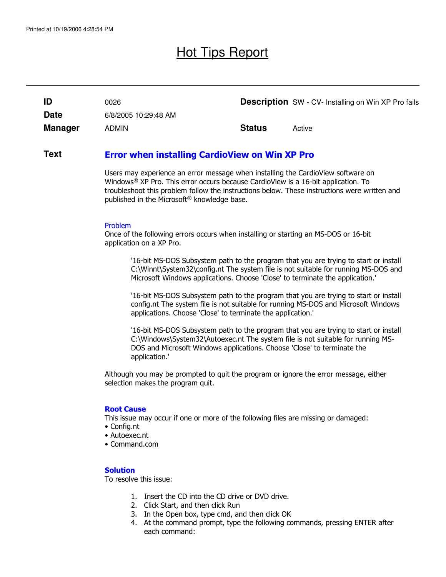# Hot Tips Report

| ID          | 0026                 |               | <b>Description</b> SW - CV- Installing on Win XP Pro fails |
|-------------|----------------------|---------------|------------------------------------------------------------|
| <b>Date</b> | 6/8/2005 10:29:48 AM |               |                                                            |
| Manager     | <b>ADMIN</b>         | <b>Status</b> | Active                                                     |

#### Error when installing CardioView on Win XP Pro **Text**

Users may experience an error message when installing the CardioView software on Windows® XP Pro. This error occurs because CardioView is a 16-bit application. To troubleshoot this problem follow the instructions below. These instructions were written and published in the Microsoft® knowledge base.

### Problem

Once of the following errors occurs when installing or starting an MS-DOS or 16-bit application on a XP Pro.

'16-bit MS-DOS Subsystem path to the program that you are trying to start or install C:\Winnt\System32\config.nt The system file is not suitable for running MS-DOS and Microsoft Windows applications. Choose 'Close' to terminate the application.'

'16-bit MS-DOS Subsystem path to the program that you are trying to start or install config.nt The system file is not suitable for running MS-DOS and Microsoft Windows applications. Choose 'Close' to terminate the application.'

'16-bit MS-DOS Subsystem path to the program that you are trying to start or install C:\Windows\System32\Autoexec.nt The system file is not suitable for running MS-DOS and Microsoft Windows applications. Choose 'Close' to terminate the application.'

Although you may be prompted to quit the program or ignore the error message, either selection makes the program quit.

### Root Cause

This issue may occur if one or more of the following files are missing or damaged:

- Config.nt
- Autoexec.nt
- Command.com

### **Solution**

To resolve this issue:

- 1. Insert the CD into the CD drive or DVD drive.
- 2. Click Start, and then click Run
- 3. In the Open box, type cmd, and then click OK
- 4. At the command prompt, type the following commands, pressing ENTER after each command: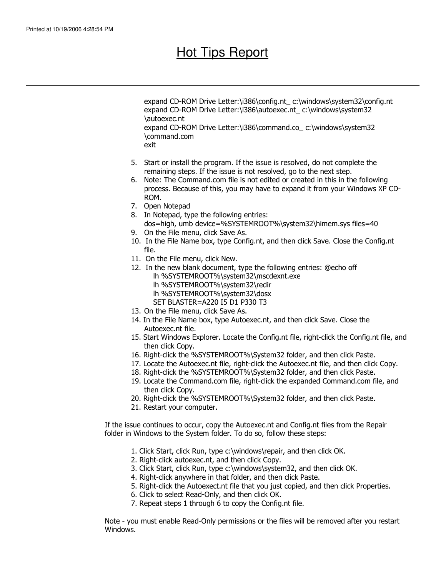# Hot Tips Report

expand CD-ROM Drive Letter:\i386\config.nt\_ c:\windows\system32\config.nt expand CD-ROM Drive Letter:\i386\autoexec.nt c:\windows\system32 \autoexec.nt expand CD-ROM Drive Letter:\i386\command.co\_ c:\windows\system32 \command.com exit

- 5. Start or install the program. If the issue is resolved, do not complete the remaining steps. If the issue is not resolved, go to the next step.
- 6. Note: The Command.com file is not edited or created in this in the following process. Because of this, you may have to expand it from your Windows XP CD-ROM.
- 7. Open Notepad
- 8. In Notepad, type the following entries: dos=high, umb device=%SYSTEMROOT%\system32\himem.sys files=40
- 9. On the File menu, click Save As.
- 10. In the File Name box, type Config.nt, and then click Save. Close the Config.nt file.
- 11. On the File menu, click New.
- 12. In the new blank document, type the following entries: @echo off lh %SYSTEMROOT%\system32\mscdexnt.exe
	- lh %SYSTEMROOT%\system32\redir
	- lh %SYSTEMROOT%\system32\dosx
	- SET BLASTER=A220 I5 D1 P330 T3
- 13. On the File menu, click Save As.
- 14. In the File Name box, type Autoexec.nt, and then click Save. Close the Autoexec.nt file.
- 15. Start Windows Explorer. Locate the Config.nt file, right-click the Config.nt file, and then click Copy.
- 16. Right-click the %SYSTEMROOT%\System32 folder, and then click Paste.
- 17. Locate the Autoexec.nt file, right-click the Autoexec.nt file, and then click Copy.
- 18. Right-click the %SYSTEMROOT%\System32 folder, and then click Paste.
- 19. Locate the Command.com file, right-click the expanded Command.com file, and then click Copy.
- 20. Right-click the %SYSTEMROOT%\System32 folder, and then click Paste.
- 21. Restart your computer.

If the issue continues to occur, copy the Autoexec.nt and Config.nt files from the Repair folder in Windows to the System folder. To do so, follow these steps:

- 1. Click Start, click Run, type c:\windows\repair, and then click OK.
- 2. Right-click autoexec.nt, and then click Copy.
- 3. Click Start, click Run, type c:\windows\system32, and then click OK.
- 4. Right-click anywhere in that folder, and then click Paste.
- 5. Right-click the Autoexect.nt file that you just copied, and then click Properties.
- 6. Click to select Read-Only, and then click OK.
- 7. Repeat steps 1 through 6 to copy the Config.nt file.

Note - you must enable Read-Only permissions or the files will be removed after you restart Windows.